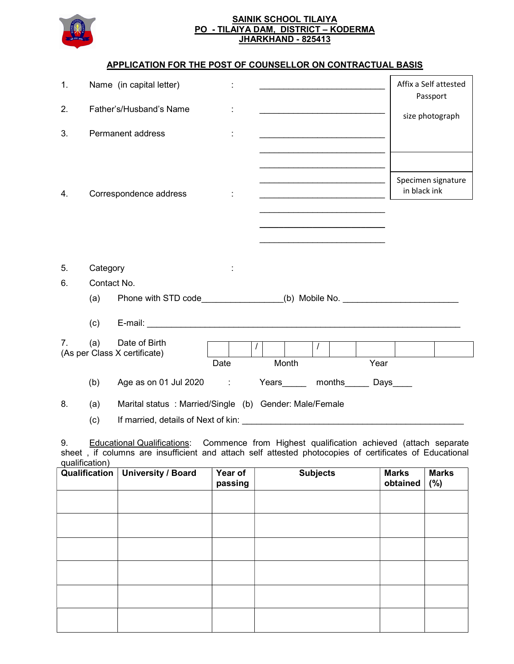

## SAINIK SCHOOL TILAIYA PO - TILAIYA DAM, DISTRICT – KODERMA JHARKHAND - 825413

## APPLICATION FOR THE POST OF COUNSELLOR ON CONTRACTUAL BASIS

| 1. |                        | Name (in capital letter)                                                         |      |          |                                                                                           |          |  |      | Affix a Self attested<br>Passport  |  |
|----|------------------------|----------------------------------------------------------------------------------|------|----------|-------------------------------------------------------------------------------------------|----------|--|------|------------------------------------|--|
| 2. |                        | Father's/Husband's Name                                                          |      |          |                                                                                           |          |  |      | size photograph                    |  |
| 3. |                        | Permanent address                                                                |      |          |                                                                                           |          |  |      |                                    |  |
|    |                        |                                                                                  |      |          |                                                                                           |          |  |      |                                    |  |
| 4. | Correspondence address |                                                                                  |      |          | the control of the control of the control of the control of the control of the control of |          |  |      | Specimen signature<br>in black ink |  |
|    |                        |                                                                                  |      |          |                                                                                           |          |  |      |                                    |  |
|    |                        |                                                                                  |      |          |                                                                                           |          |  |      |                                    |  |
| 5. | Category               |                                                                                  |      |          |                                                                                           |          |  |      |                                    |  |
| 6. | Contact No.            |                                                                                  |      |          |                                                                                           |          |  |      |                                    |  |
|    | (a)                    | Phone with STD code_______________(b) Mobile No. _______________________________ |      |          |                                                                                           |          |  |      |                                    |  |
|    | (c)                    |                                                                                  |      |          |                                                                                           |          |  |      |                                    |  |
| 7. | (a)                    | Date of Birth<br>(As per Class X certificate)                                    |      | $\prime$ |                                                                                           | $\prime$ |  |      |                                    |  |
|    |                        |                                                                                  | Date |          | Month                                                                                     |          |  | Year |                                    |  |
|    | (b)                    | Age as on 01 Jul 2020 :                                                          |      |          | Years months Days                                                                         |          |  |      |                                    |  |
| 8. | (a)                    | Marital status : Married/Single (b) Gender: Male/Female                          |      |          |                                                                                           |          |  |      |                                    |  |
|    | (c)                    |                                                                                  |      |          |                                                                                           |          |  |      |                                    |  |

9. Educational Qualifications: Commence from Highest qualification achieved (attach separate sheet , if columns are insufficient and attach self attested photocopies of certificates of Educational qualification)

| Qualification | <b>University / Board</b> | Year of<br>passing | <b>Subjects</b> | <b>Marks</b><br>obtained | <b>Marks</b><br>(%) |
|---------------|---------------------------|--------------------|-----------------|--------------------------|---------------------|
|               |                           |                    |                 |                          |                     |
|               |                           |                    |                 |                          |                     |
|               |                           |                    |                 |                          |                     |
|               |                           |                    |                 |                          |                     |
|               |                           |                    |                 |                          |                     |
|               |                           |                    |                 |                          |                     |